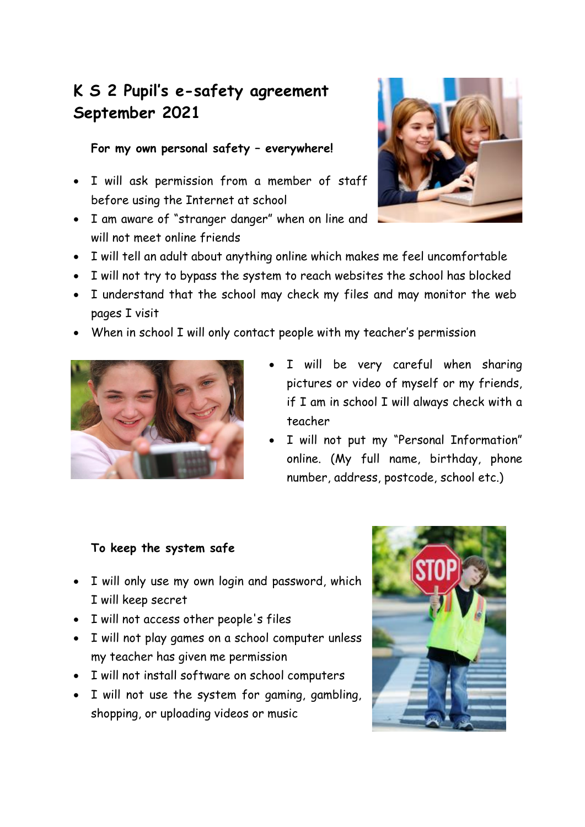## **K S 2 Pupil's e-safety agreement September 2021**

**For my own personal safety – everywhere!**

- I will ask permission from a member of staff before using the Internet at school
- I am aware of "stranger danger" when on line and will not meet online friends



- I will tell an adult about anything online which makes me feel uncomfortable
- I will not try to bypass the system to reach websites the school has blocked
- I understand that the school may check my files and may monitor the web pages I visit
- When in school I will only contact people with my teacher's permission



- I will be very careful when sharing pictures or video of myself or my friends, if I am in school I will always check with a teacher
- I will not put my "Personal Information" online. (My full name, birthday, phone number, address, postcode, school etc.)

### **To keep the system safe**

- I will only use my own login and password, which I will keep secret
- I will not access other people's files
- I will not play games on a school computer unless my teacher has given me permission
- I will not install software on school computers
- I will not use the system for gaming, gambling, shopping, or uploading videos or music

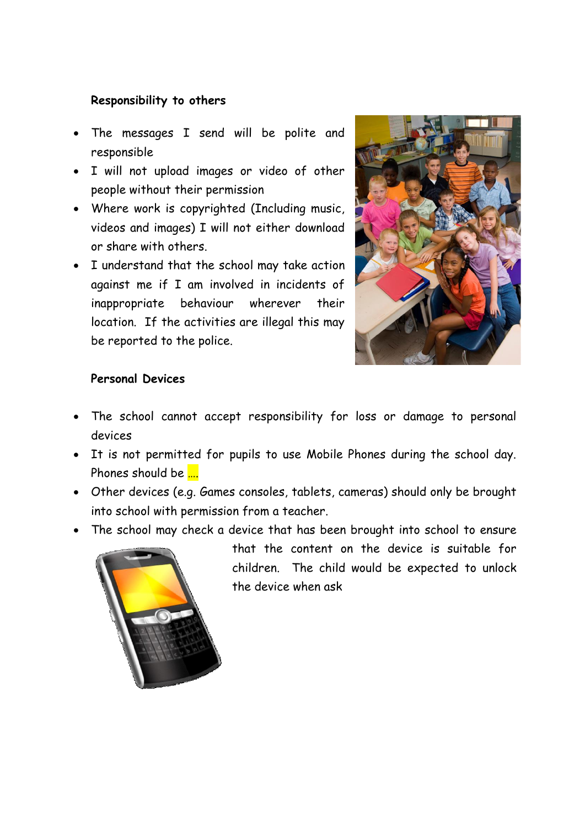#### **Responsibility to others**

- The messages I send will be polite and responsible
- I will not upload images or video of other people without their permission
- Where work is copyrighted (Including music, videos and images) I will not either download or share with others.
- I understand that the school may take action against me if I am involved in incidents of inappropriate behaviour wherever their location. If the activities are illegal this may be reported to the police.



#### **Personal Devices**

- The school cannot accept responsibility for loss or damage to personal devices
- It is not permitted for pupils to use Mobile Phones during the school day. Phones should be ....
- Other devices (e.g. Games consoles, tablets, cameras) should only be brought into school with permission from a teacher.
- The school may check a device that has been brought into school to ensure



that the content on the device is suitable for children. The child would be expected to unlock the device when ask